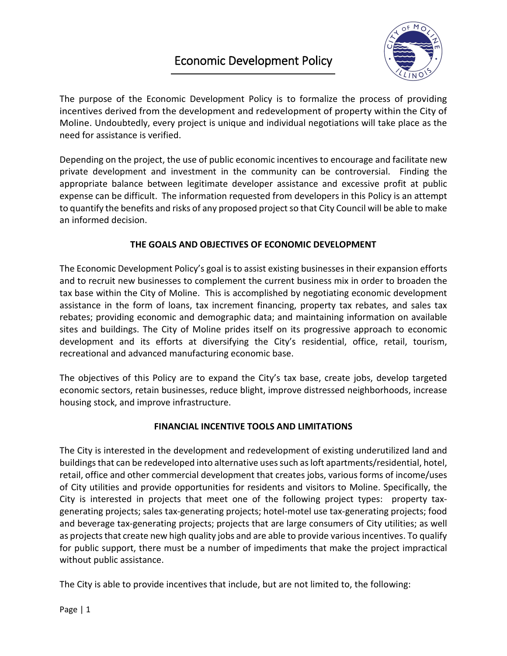# Economic Development Policy



The purpose of the Economic Development Policy is to formalize the process of providing incentives derived from the development and redevelopment of property within the City of Moline. Undoubtedly, every project is unique and individual negotiations will take place as the need for assistance is verified.

Depending on the project, the use of public economic incentives to encourage and facilitate new private development and investment in the community can be controversial. Finding the appropriate balance between legitimate developer assistance and excessive profit at public expense can be difficult. The information requested from developers in this Policy is an attempt to quantify the benefits and risks of any proposed project so that City Council will be able to make an informed decision.

# **THE GOALS AND OBJECTIVES OF ECONOMIC DEVELOPMENT**

The Economic Development Policy's goal is to assist existing businesses in their expansion efforts and to recruit new businesses to complement the current business mix in order to broaden the tax base within the City of Moline. This is accomplished by negotiating economic development assistance in the form of loans, tax increment financing, property tax rebates, and sales tax rebates; providing economic and demographic data; and maintaining information on available sites and buildings. The City of Moline prides itself on its progressive approach to economic development and its efforts at diversifying the City's residential, office, retail, tourism, recreational and advanced manufacturing economic base.

The objectives of this Policy are to expand the City's tax base, create jobs, develop targeted economic sectors, retain businesses, reduce blight, improve distressed neighborhoods, increase housing stock, and improve infrastructure.

# **FINANCIAL INCENTIVE TOOLS AND LIMITATIONS**

The City is interested in the development and redevelopment of existing underutilized land and buildings that can be redeveloped into alternative uses such as loft apartments/residential, hotel, retail, office and other commercial development that creates jobs, various forms of income/uses of City utilities and provide opportunities for residents and visitors to Moline. Specifically, the City is interested in projects that meet one of the following project types: property taxgenerating projects; sales tax-generating projects; hotel-motel use tax-generating projects; food and beverage tax-generating projects; projects that are large consumers of City utilities; as well as projects that create new high quality jobs and are able to provide various incentives. To qualify for public support, there must be a number of impediments that make the project impractical without public assistance.

The City is able to provide incentives that include, but are not limited to, the following: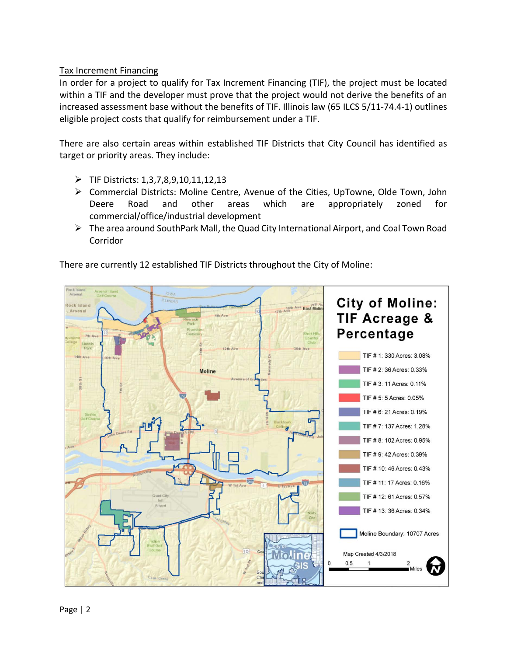# Tax Increment Financing

In order for a project to qualify for Tax Increment Financing (TIF), the project must be located within a TIF and the developer must prove that the project would not derive the benefits of an increased assessment base without the benefits of TIF. Illinois law (65 ILCS 5/11-74.4-1) outlines eligible project costs that qualify for reimbursement under a TIF.

There are also certain areas within established TIF Districts that City Council has identified as target or priority areas. They include:

- $\triangleright$  TIF Districts: 1,3,7,8,9,10,11,12,13
- Commercial Districts: Moline Centre, Avenue of the Cities, UpTowne, Olde Town, John Deere Road and other areas which are appropriately zoned for commercial/office/industrial development
- The area around SouthPark Mall, the Quad City International Airport, and Coal Town Road Corridor

ock Tutano **City of Moline:** ock Island 16th Ave East Molin Arsenal **TIF Acreage &** Percentage  $12th$  Ave TIF # 1: 330 Acres: 3.08% TIF # 2: 36 Acres: 0.33% **Moline** TIF # 3: 11 Acres: 0.11% TIF # 5: 5 Acres: 0.05% TIF # 6: 21 Acres: 0.19% TIF # 7: 137 Acres: 1.28% TIF # 8: 102 Acres: 0.95% TIF # 9: 42 Acres: 0.39% TIF # 10: 46 Acres: 0.43% TIF # 11: 17 Acres: 0.16% TIF # 12: 61 Acres: 0.57% TIF # 13: 36 Acres: 0.34% Moline Boundary: 10707 Acres Map Created 4/3/2018  $\Omega$  $0.5$ Case Gree

There are currently 12 established TIF Districts throughout the City of Moline: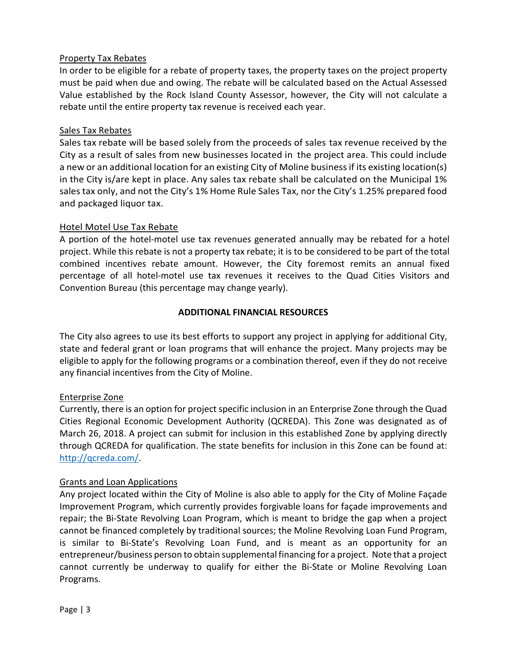## Property Tax Rebates

In order to be eligible for a rebate of property taxes, the property taxes on the project property must be paid when due and owing. The rebate will be calculated based on the Actual Assessed Value established by the Rock Island County Assessor, however, the City will not calculate a rebate until the entire property tax revenue is received each year.

## Sales Tax Rebates

Sales tax rebate will be based solely from the proceeds of sales tax revenue received by the City as a result of sales from new businesses located in the project area. This could include a new or an additional location for an existing City of Moline business if its existing location(s) in the City is/are kept in place. Any sales tax rebate shall be calculated on the Municipal 1% sales tax only, and not the City's 1% Home Rule Sales Tax, nor the City's 1.25% prepared food and packaged liquor tax.

## Hotel Motel Use Tax Rebate

A portion of the hotel-motel use tax revenues generated annually may be rebated for a hotel project. While this rebate is not a property tax rebate; it is to be considered to be part of the total combined incentives rebate amount. However, the City foremost remits an annual fixed percentage of all hotel-motel use tax revenues it receives to the Quad Cities Visitors and Convention Bureau (this percentage may change yearly).

## **ADDITIONAL FINANCIAL RESOURCES**

The City also agrees to use its best efforts to support any project in applying for additional City, state and federal grant or loan programs that will enhance the project. Many projects may be eligible to apply for the following programs or a combination thereof, even if they do not receive any financial incentives from the City of Moline.

## Enterprise Zone

Currently, there is an option for project specific inclusion in an Enterprise Zone through the Quad Cities Regional Economic Development Authority (QCREDA). This Zone was designated as of March 26, 2018. A project can submit for inclusion in this established Zone by applying directly through QCREDA for qualification. The state benefits for inclusion in this Zone can be found at: [http://qcreda.com/.](http://qcreda.com/)

## Grants and Loan Applications

Any project located within the City of Moline is also able to apply for the City of Moline Façade Improvement Program, which currently provides forgivable loans for façade improvements and repair; the Bi-State Revolving Loan Program, which is meant to bridge the gap when a project cannot be financed completely by traditional sources; the Moline Revolving Loan Fund Program, is similar to Bi-State's Revolving Loan Fund, and is meant as an opportunity for an entrepreneur/business person to obtain supplemental financing for a project. Note that a project cannot currently be underway to qualify for either the Bi-State or Moline Revolving Loan Programs.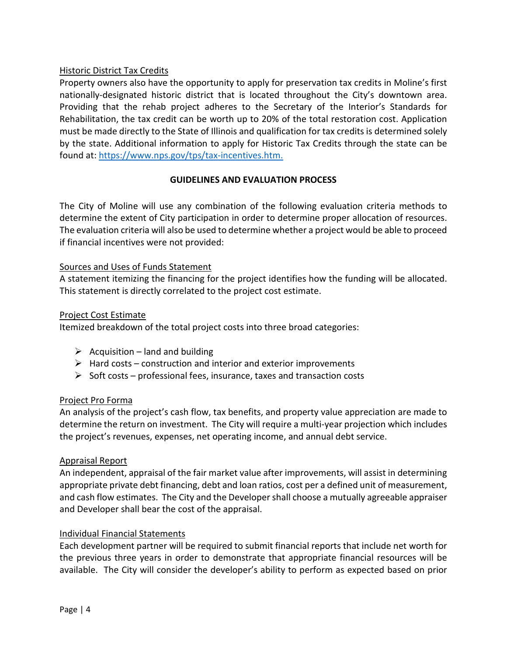# Historic District Tax Credits

Property owners also have the opportunity to apply for preservation tax credits in Moline's first nationally-designated historic district that is located throughout the City's downtown area. Providing that the rehab project adheres to the Secretary of the Interior's Standards for Rehabilitation, the tax credit can be worth up to 20% of the total restoration cost. Application must be made directly to the State of Illinois and qualification for tax credits is determined solely by the state. Additional information to apply for Historic Tax Credits through the state can be found at: [https://www.nps.gov/tps/tax-incentives.htm.](https://www.nps.gov/tps/tax-incentives.htm)

## **GUIDELINES AND EVALUATION PROCESS**

The City of Moline will use any combination of the following evaluation criteria methods to determine the extent of City participation in order to determine proper allocation of resources. The evaluation criteria will also be used to determine whether a project would be able to proceed if financial incentives were not provided:

## Sources and Uses of Funds Statement

A statement itemizing the financing for the project identifies how the funding will be allocated. This statement is directly correlated to the project cost estimate.

## Project Cost Estimate

Itemized breakdown of the total project costs into three broad categories:

- $\triangleright$  Acquisition land and building
- $\triangleright$  Hard costs construction and interior and exterior improvements
- $\triangleright$  Soft costs professional fees, insurance, taxes and transaction costs

## Project Pro Forma

An analysis of the project's cash flow, tax benefits, and property value appreciation are made to determine the return on investment. The City will require a multi-year projection which includes the project's revenues, expenses, net operating income, and annual debt service.

## Appraisal Report

An independent, appraisal of the fair market value after improvements, will assist in determining appropriate private debt financing, debt and loan ratios, cost per a defined unit of measurement, and cash flow estimates. The City and the Developer shall choose a mutually agreeable appraiser and Developer shall bear the cost of the appraisal.

## Individual Financial Statements

Each development partner will be required to submit financial reports that include net worth for the previous three years in order to demonstrate that appropriate financial resources will be available. The City will consider the developer's ability to perform as expected based on prior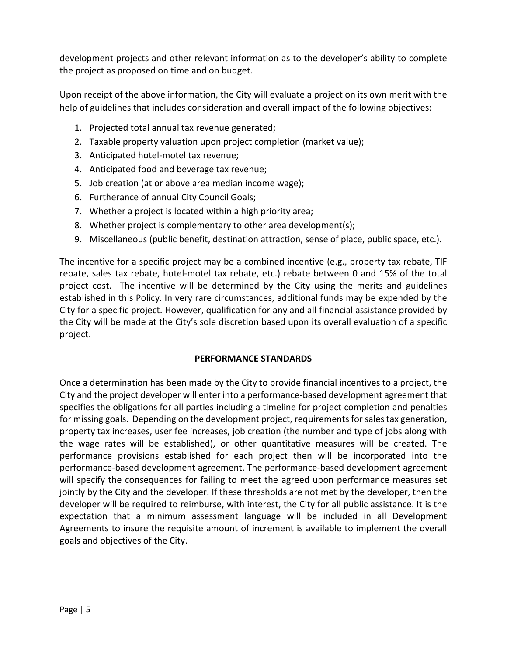development projects and other relevant information as to the developer's ability to complete the project as proposed on time and on budget.

Upon receipt of the above information, the City will evaluate a project on its own merit with the help of guidelines that includes consideration and overall impact of the following objectives:

- 1. Projected total annual tax revenue generated;
- 2. Taxable property valuation upon project completion (market value);
- 3. Anticipated hotel-motel tax revenue;
- 4. Anticipated food and beverage tax revenue;
- 5. Job creation (at or above area median income wage);
- 6. Furtherance of annual City Council Goals;
- 7. Whether a project is located within a high priority area;
- 8. Whether project is complementary to other area development(s);
- 9. Miscellaneous (public benefit, destination attraction, sense of place, public space, etc.).

The incentive for a specific project may be a combined incentive (e.g., property tax rebate, TIF rebate, sales tax rebate, hotel-motel tax rebate, etc.) rebate between 0 and 15% of the total project cost. The incentive will be determined by the City using the merits and guidelines established in this Policy. In very rare circumstances, additional funds may be expended by the City for a specific project. However, qualification for any and all financial assistance provided by the City will be made at the City's sole discretion based upon its overall evaluation of a specific project.

## **PERFORMANCE STANDARDS**

Once a determination has been made by the City to provide financial incentives to a project, the City and the project developer will enter into a performance-based development agreement that specifies the obligations for all parties including a timeline for project completion and penalties for missing goals. Depending on the development project, requirements for sales tax generation, property tax increases, user fee increases, job creation (the number and type of jobs along with the wage rates will be established), or other quantitative measures will be created. The performance provisions established for each project then will be incorporated into the performance-based development agreement. The performance-based development agreement will specify the consequences for failing to meet the agreed upon performance measures set jointly by the City and the developer. If these thresholds are not met by the developer, then the developer will be required to reimburse, with interest, the City for all public assistance. It is the expectation that a minimum assessment language will be included in all Development Agreements to insure the requisite amount of increment is available to implement the overall goals and objectives of the City.